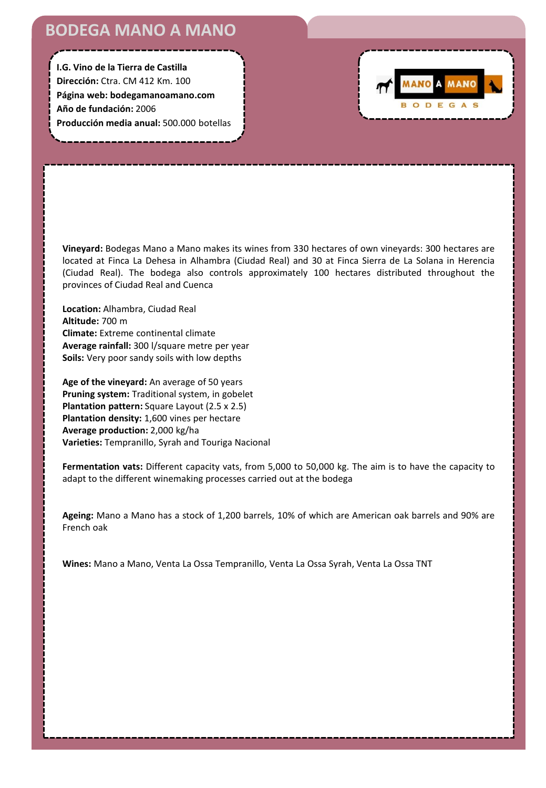## **BODEGA MANO A MANO**

**I.G. Vino de la Tierra de Castilla Dirección:** Ctra. CM 412 Km. 100 **Página web: bodegamanoamano.com Año de fundación:** 2006 **Producción media anual:** 500.000 botellas



**Vineyard:** Bodegas Mano a Mano makes its wines from 330 hectares of own vineyards: 300 hectares are located at Finca La Dehesa in Alhambra (Ciudad Real) and 30 at Finca Sierra de La Solana in Herencia (Ciudad Real). The bodega also controls approximately 100 hectares distributed throughout the provinces of Ciudad Real and Cuenca

**Location:** Alhambra, Ciudad Real **Altitude:** 700 m **Climate:** Extreme continental climate **Average rainfall:** 300 l/square metre per year **Soils:** Very poor sandy soils with low depths

**Age of the vineyard:** An average of 50 years **Pruning system:** Traditional system, in gobelet **Plantation pattern:** Square Layout (2.5 x 2.5) **Plantation density:** 1,600 vines per hectare **Average production:** 2,000 kg/ha **Varieties:** Tempranillo, Syrah and Touriga Nacional

**Fermentation vats:** Different capacity vats, from 5,000 to 50,000 kg. The aim is to have the capacity to adapt to the different winemaking processes carried out at the bodega

**Ageing:** Mano a Mano has a stock of 1,200 barrels, 10% of which are American oak barrels and 90% are French oak

**Wines:** Mano a Mano, Venta La Ossa Tempranillo, Venta La Ossa Syrah, Venta La Ossa TNT